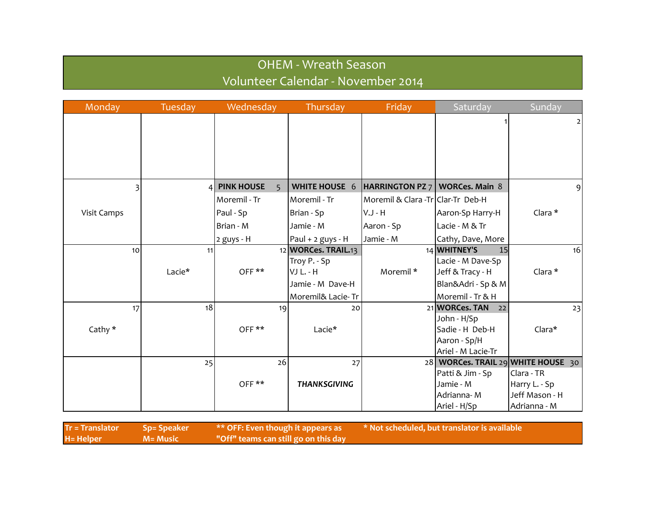## OHEM - Wreath Season Volunteer Calendar - November 2014

| Monday      | Tuesday | Wednesday                      | Thursday             | Friday                             | Saturday                           | Sunday         |
|-------------|---------|--------------------------------|----------------------|------------------------------------|------------------------------------|----------------|
|             |         |                                |                      |                                    |                                    | 2              |
|             |         |                                |                      |                                    |                                    |                |
|             |         |                                |                      |                                    |                                    |                |
|             |         |                                |                      |                                    |                                    |                |
|             |         |                                |                      |                                    |                                    |                |
| 3           |         | 4 PINK HOUSE<br>$\overline{5}$ | <b>WHITE HOUSE 6</b> | HARRINGTON PZ $7$   WORCes. Main 8 |                                    | $\overline{9}$ |
|             |         | Moremil - Tr                   | Moremil - Tr         | Moremil & Clara -Tr Clar-Tr Deb-H  |                                    |                |
| Visit Camps |         | Paul - Sp                      | Brian - Sp           | V.J - H                            | Aaron-Sp Harry-H                   | Clara *        |
|             |         | Brian - M                      | Jamie - M            | Aaron - Sp                         | Lacie - M & Tr                     |                |
|             |         | $2$ guys - H                   | Paul + 2 guys - H    | Jamie - M                          | Cathy, Dave, More                  |                |
| 10          | 11      |                                | 12 WORCes. TRAIL.13  |                                    | 14 WHITNEY'S<br>15                 | 16             |
|             |         |                                | Troy P. - Sp         |                                    | Lacie - M Dave-Sp                  |                |
|             | Lacie*  | OFF**                          | VJ L. - H            | Moremil *                          | Jeff & Tracy - H                   | Clara *        |
|             |         |                                | Jamie - M Dave-H     |                                    | Blan&Adri - Sp & M                 |                |
|             |         |                                | Moremil& Lacie-Tr    |                                    | Moremil - Tr & H                   |                |
| 17          | 18      | 19                             | 20                   |                                    | 21 WORCes. TAN<br>22               | 23             |
|             |         |                                |                      |                                    | John - H/Sp                        |                |
| Cathy *     |         | OFF**                          | Lacie*               |                                    | Sadie - H Deb-H                    | Clara*         |
|             |         |                                |                      |                                    | Aaron - Sp/H                       |                |
|             |         |                                |                      |                                    | Ariel - M Lacie-Tr                 |                |
|             | 25      | 26                             | 27                   |                                    | 28 WORCes. TRAIL 29 WHITE HOUSE 30 |                |
|             |         |                                |                      |                                    | Patti & Jim - Sp                   | Clara - TR     |
|             |         | OFF**                          | <b>THANKSGIVING</b>  |                                    | Jamie - M                          | Harry L. - Sp  |
|             |         |                                |                      |                                    | Adrianna-M                         | Jeff Mason - H |
|             |         |                                |                      |                                    | Ariel - H/Sp                       | Adrianna - M   |

| <b>Tr = Translator</b> | ' Sp= Speaker | $\rightarrow$ ** OFF: Even though it appears as $\rightarrow$ | * Not scheduled, but translator is available |
|------------------------|---------------|---------------------------------------------------------------|----------------------------------------------|
| H= Helper              | M= Music      | "Off" teams can still go on this day                          |                                              |